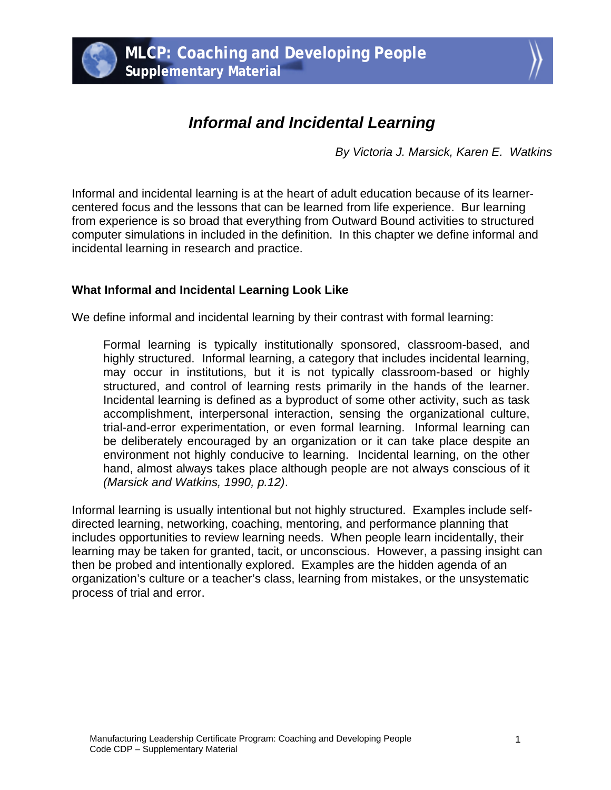



# *Informal and Incidental Learning*

*By Victoria J. Marsick, Karen E. Watkins* 

Informal and incidental learning is at the heart of adult education because of its learnercentered focus and the lessons that can be learned from life experience. Bur learning from experience is so broad that everything from Outward Bound activities to structured computer simulations in included in the definition. In this chapter we define informal and incidental learning in research and practice.

#### **What Informal and Incidental Learning Look Like**

We define informal and incidental learning by their contrast with formal learning:

Formal learning is typically institutionally sponsored, classroom-based, and highly structured. Informal learning, a category that includes incidental learning, may occur in institutions, but it is not typically classroom-based or highly structured, and control of learning rests primarily in the hands of the learner. Incidental learning is defined as a byproduct of some other activity, such as task accomplishment, interpersonal interaction, sensing the organizational culture, trial-and-error experimentation, or even formal learning. Informal learning can be deliberately encouraged by an organization or it can take place despite an environment not highly conducive to learning. Incidental learning, on the other hand, almost always takes place although people are not always conscious of it *(Marsick and Watkins, 1990, p.12)*.

Informal learning is usually intentional but not highly structured. Examples include selfdirected learning, networking, coaching, mentoring, and performance planning that includes opportunities to review learning needs. When people learn incidentally, their learning may be taken for granted, tacit, or unconscious. However, a passing insight can then be probed and intentionally explored. Examples are the hidden agenda of an organization's culture or a teacher's class, learning from mistakes, or the unsystematic process of trial and error.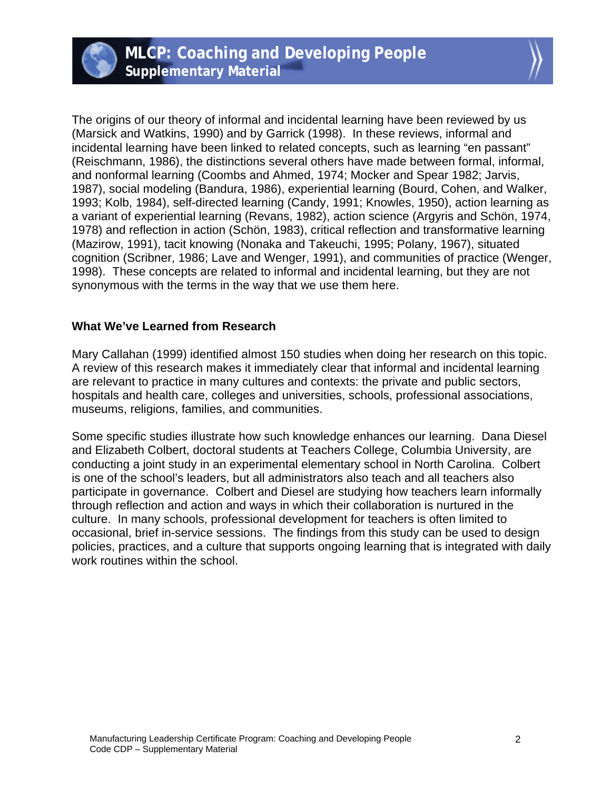

The origins of our theory of informal and incidental learning have been reviewed by us (Marsick and Watkins, 1990) and by Garrick (1998). In these reviews, informal and incidental learning have been linked to related concepts, such as learning "en passant" (Reischmann, 1986), the distinctions several others have made between formal, informal, and nonformal learning (Coombs and Ahmed, 1974; Mocker and Spear 1982; Jarvis, 1987), social modeling (Bandura, 1986), experiential learning (Bourd, Cohen, and Walker, 1993; Kolb, 1984), self-directed learning (Candy, 1991; Knowles, 1950), action learning as a variant of experiential learning (Revans, 1982), action science (Argyris and Schön, 1974, 1978) and reflection in action (Schön, 1983), critical reflection and transformative learning (Mazirow, 1991), tacit knowing (Nonaka and Takeuchi, 1995; Polany, 1967), situated cognition (Scribner, 1986; Lave and Wenger, 1991), and communities of practice (Wenger, 1998). These concepts are related to informal and incidental learning, but they are not synonymous with the terms in the way that we use them here.

#### **What We've Learned from Research**

Mary Callahan (1999) identified almost 150 studies when doing her research on this topic. A review of this research makes it immediately clear that informal and incidental learning are relevant to practice in many cultures and contexts: the private and public sectors, hospitals and health care, colleges and universities, schools, professional associations, museums, religions, families, and communities.

Some specific studies illustrate how such knowledge enhances our learning. Dana Diesel and Elizabeth Colbert, doctoral students at Teachers College, Columbia University, are conducting a joint study in an experimental elementary school in North Carolina. Colbert is one of the school's leaders, but all administrators also teach and all teachers also participate in governance. Colbert and Diesel are studying how teachers learn informally through reflection and action and ways in which their collaboration is nurtured in the culture. In many schools, professional development for teachers is often limited to occasional, brief in-service sessions. The findings from this study can be used to design policies, practices, and a culture that supports ongoing learning that is integrated with daily work routines within the school.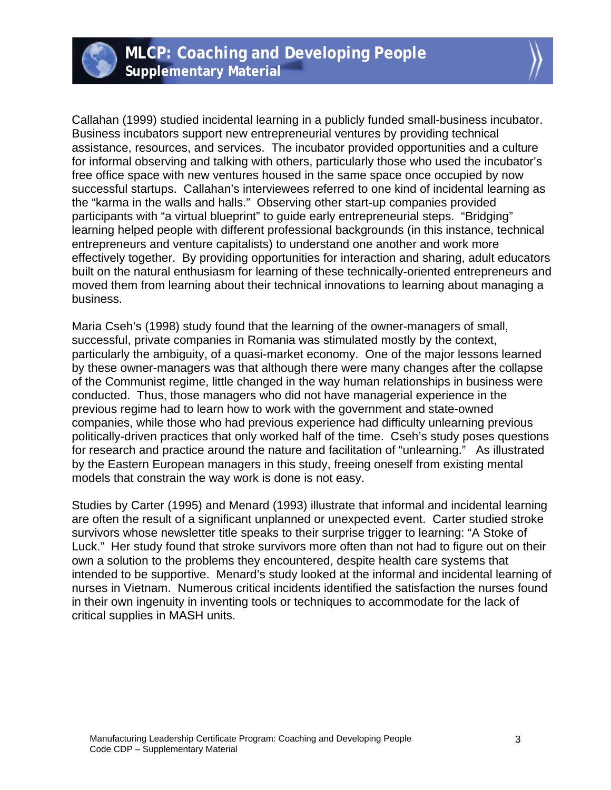

Callahan (1999) studied incidental learning in a publicly funded small-business incubator. Business incubators support new entrepreneurial ventures by providing technical assistance, resources, and services. The incubator provided opportunities and a culture for informal observing and talking with others, particularly those who used the incubator's free office space with new ventures housed in the same space once occupied by now successful startups. Callahan's interviewees referred to one kind of incidental learning as the "karma in the walls and halls." Observing other start-up companies provided participants with "a virtual blueprint" to guide early entrepreneurial steps. "Bridging" learning helped people with different professional backgrounds (in this instance, technical entrepreneurs and venture capitalists) to understand one another and work more effectively together. By providing opportunities for interaction and sharing, adult educators built on the natural enthusiasm for learning of these technically-oriented entrepreneurs and moved them from learning about their technical innovations to learning about managing a business.

Maria Cseh's (1998) study found that the learning of the owner-managers of small, successful, private companies in Romania was stimulated mostly by the context, particularly the ambiguity, of a quasi-market economy. One of the major lessons learned by these owner-managers was that although there were many changes after the collapse of the Communist regime, little changed in the way human relationships in business were conducted. Thus, those managers who did not have managerial experience in the previous regime had to learn how to work with the government and state-owned companies, while those who had previous experience had difficulty unlearning previous politically-driven practices that only worked half of the time. Cseh's study poses questions for research and practice around the nature and facilitation of "unlearning." As illustrated by the Eastern European managers in this study, freeing oneself from existing mental models that constrain the way work is done is not easy.

Studies by Carter (1995) and Menard (1993) illustrate that informal and incidental learning are often the result of a significant unplanned or unexpected event. Carter studied stroke survivors whose newsletter title speaks to their surprise trigger to learning: "A Stoke of Luck." Her study found that stroke survivors more often than not had to figure out on their own a solution to the problems they encountered, despite health care systems that intended to be supportive. Menard's study looked at the informal and incidental learning of nurses in Vietnam. Numerous critical incidents identified the satisfaction the nurses found in their own ingenuity in inventing tools or techniques to accommodate for the lack of critical supplies in MASH units.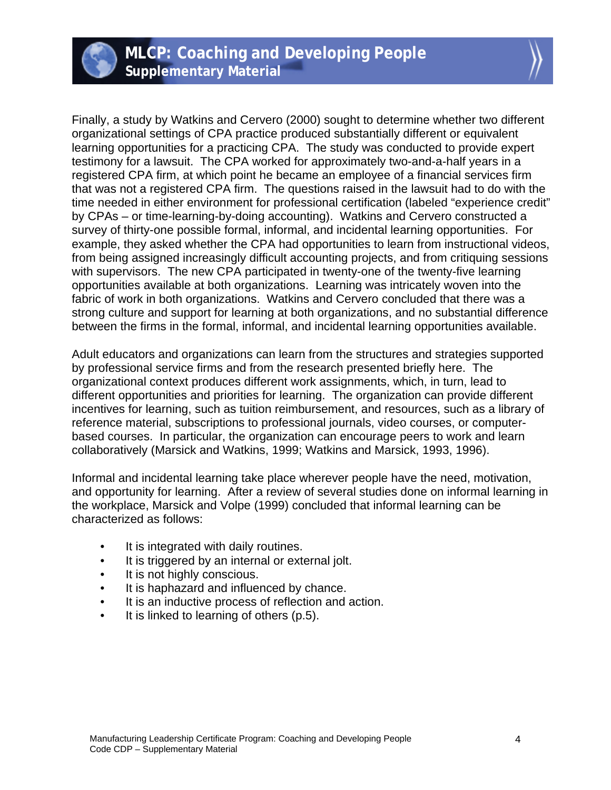Finally, a study by Watkins and Cervero (2000) sought to determine whether two different organizational settings of CPA practice produced substantially different or equivalent learning opportunities for a practicing CPA. The study was conducted to provide expert testimony for a lawsuit. The CPA worked for approximately two-and-a-half years in a registered CPA firm, at which point he became an employee of a financial services firm that was not a registered CPA firm. The questions raised in the lawsuit had to do with the time needed in either environment for professional certification (labeled "experience credit" by CPAs – or time-learning-by-doing accounting). Watkins and Cervero constructed a survey of thirty-one possible formal, informal, and incidental learning opportunities. For example, they asked whether the CPA had opportunities to learn from instructional videos, from being assigned increasingly difficult accounting projects, and from critiquing sessions with supervisors. The new CPA participated in twenty-one of the twenty-five learning opportunities available at both organizations. Learning was intricately woven into the fabric of work in both organizations. Watkins and Cervero concluded that there was a strong culture and support for learning at both organizations, and no substantial difference between the firms in the formal, informal, and incidental learning opportunities available.

Adult educators and organizations can learn from the structures and strategies supported by professional service firms and from the research presented briefly here. The organizational context produces different work assignments, which, in turn, lead to different opportunities and priorities for learning. The organization can provide different incentives for learning, such as tuition reimbursement, and resources, such as a library of reference material, subscriptions to professional journals, video courses, or computerbased courses. In particular, the organization can encourage peers to work and learn collaboratively (Marsick and Watkins, 1999; Watkins and Marsick, 1993, 1996).

Informal and incidental learning take place wherever people have the need, motivation, and opportunity for learning. After a review of several studies done on informal learning in the workplace, Marsick and Volpe (1999) concluded that informal learning can be characterized as follows:

- It is integrated with daily routines.
- It is triggered by an internal or external jolt.
- It is not highly conscious.
- It is haphazard and influenced by chance.
- It is an inductive process of reflection and action.
- It is linked to learning of others  $(p.5)$ .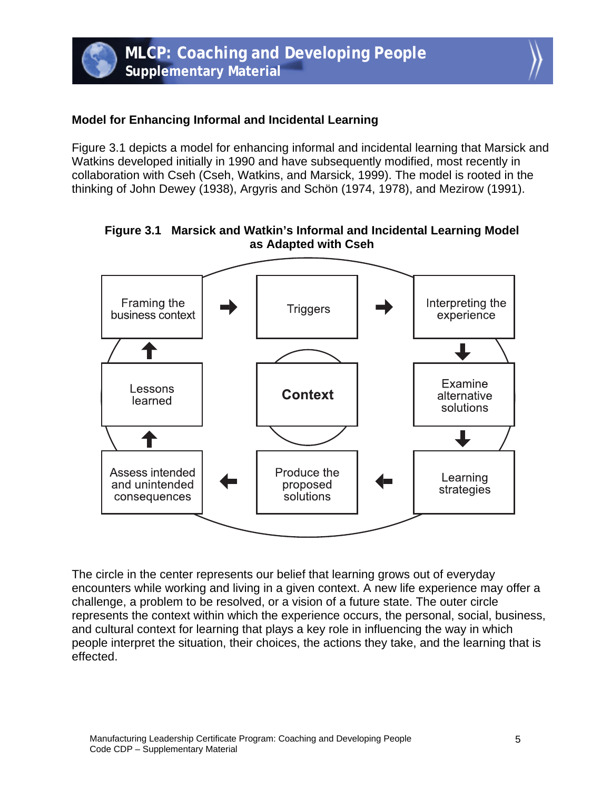

## **Model for Enhancing Informal and Incidental Learning**

Figure 3.1 depicts a model for enhancing informal and incidental learning that Marsick and Watkins developed initially in 1990 and have subsequently modified, most recently in collaboration with Cseh (Cseh, Watkins, and Marsick, 1999). The model is rooted in the thinking of John Dewey (1938), Argyris and Schön (1974, 1978), and Mezirow (1991).



**Figure 3.1 Marsick and Watkin's Informal and Incidental Learning Model as Adapted with Cseh** 

The circle in the center represents our belief that learning grows out of everyday encounters while working and living in a given context. A new life experience may offer a challenge, a problem to be resolved, or a vision of a future state. The outer circle represents the context within which the experience occurs, the personal, social, business, and cultural context for learning that plays a key role in influencing the way in which people interpret the situation, their choices, the actions they take, and the learning that is effected.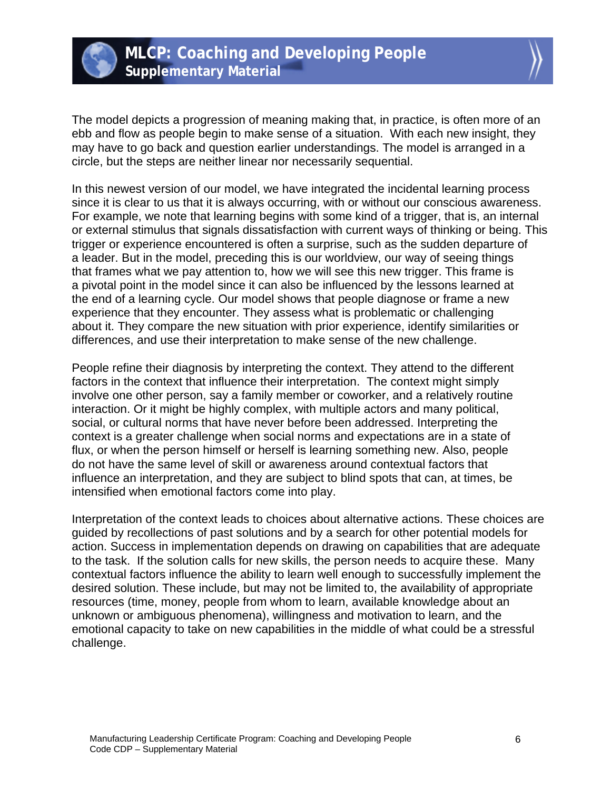

The model depicts a progression of meaning making that, in practice, is often more of an ebb and flow as people begin to make sense of a situation. With each new insight, they may have to go back and question earlier understandings. The model is arranged in a circle, but the steps are neither linear nor necessarily sequential.

In this newest version of our model, we have integrated the incidental learning process since it is clear to us that it is always occurring, with or without our conscious awareness. For example, we note that learning begins with some kind of a trigger, that is, an internal or external stimulus that signals dissatisfaction with current ways of thinking or being. This trigger or experience encountered is often a surprise, such as the sudden departure of a leader. But in the model, preceding this is our worldview, our way of seeing things that frames what we pay attention to, how we will see this new trigger. This frame is a pivotal point in the model since it can also be influenced by the lessons learned at the end of a learning cycle. Our model shows that people diagnose or frame a new experience that they encounter. They assess what is problematic or challenging about it. They compare the new situation with prior experience, identify similarities or differences, and use their interpretation to make sense of the new challenge.

People refine their diagnosis by interpreting the context. They attend to the different factors in the context that influence their interpretation. The context might simply involve one other person, say a family member or coworker, and a relatively routine interaction. Or it might be highly complex, with multiple actors and many political, social, or cultural norms that have never before been addressed. Interpreting the context is a greater challenge when social norms and expectations are in a state of flux, or when the person himself or herself is learning something new. Also, people do not have the same level of skill or awareness around contextual factors that influence an interpretation, and they are subject to blind spots that can, at times, be intensified when emotional factors come into play.

Interpretation of the context leads to choices about alternative actions. These choices are guided by recollections of past solutions and by a search for other potential models for action. Success in implementation depends on drawing on capabilities that are adequate to the task. If the solution calls for new skills, the person needs to acquire these. Many contextual factors influence the ability to learn well enough to successfully implement the desired solution. These include, but may not be limited to, the availability of appropriate resources (time, money, people from whom to learn, available knowledge about an unknown or ambiguous phenomena), willingness and motivation to learn, and the emotional capacity to take on new capabilities in the middle of what could be a stressful challenge.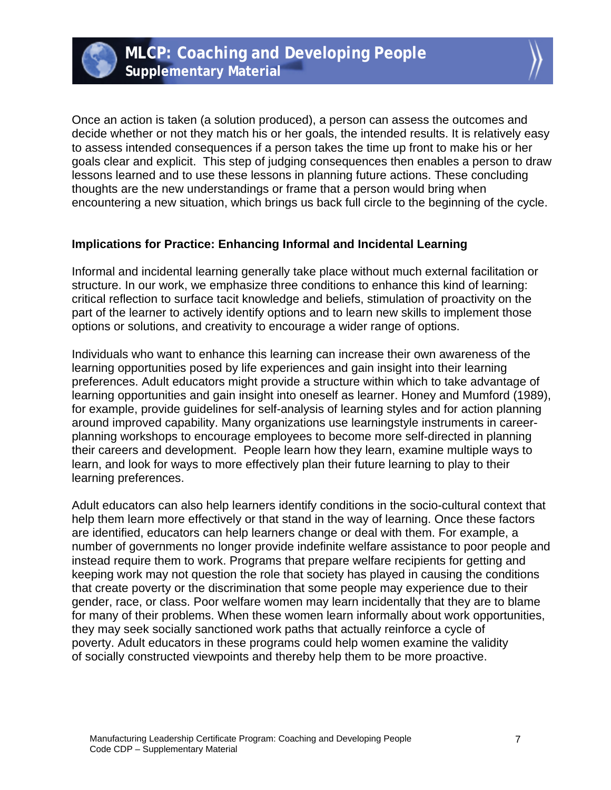



Once an action is taken (a solution produced), a person can assess the outcomes and decide whether or not they match his or her goals, the intended results. It is relatively easy to assess intended consequences if a person takes the time up front to make his or her goals clear and explicit. This step of judging consequences then enables a person to draw lessons learned and to use these lessons in planning future actions. These concluding thoughts are the new understandings or frame that a person would bring when encountering a new situation, which brings us back full circle to the beginning of the cycle.

## **Implications for Practice: Enhancing Informal and Incidental Learning**

Informal and incidental learning generally take place without much external facilitation or structure. In our work, we emphasize three conditions to enhance this kind of learning: critical reflection to surface tacit knowledge and beliefs, stimulation of proactivity on the part of the learner to actively identify options and to learn new skills to implement those options or solutions, and creativity to encourage a wider range of options.

Individuals who want to enhance this learning can increase their own awareness of the learning opportunities posed by life experiences and gain insight into their learning preferences. Adult educators might provide a structure within which to take advantage of learning opportunities and gain insight into oneself as learner. Honey and Mumford (1989), for example, provide guidelines for self-analysis of learning styles and for action planning around improved capability. Many organizations use learningstyle instruments in careerplanning workshops to encourage employees to become more self-directed in planning their careers and development. People learn how they learn, examine multiple ways to learn, and look for ways to more effectively plan their future learning to play to their learning preferences.

Adult educators can also help learners identify conditions in the socio-cultural context that help them learn more effectively or that stand in the way of learning. Once these factors are identified, educators can help learners change or deal with them. For example, a number of governments no longer provide indefinite welfare assistance to poor people and instead require them to work. Programs that prepare welfare recipients for getting and keeping work may not question the role that society has played in causing the conditions that create poverty or the discrimination that some people may experience due to their gender, race, or class. Poor welfare women may learn incidentally that they are to blame for many of their problems. When these women learn informally about work opportunities, they may seek socially sanctioned work paths that actually reinforce a cycle of poverty. Adult educators in these programs could help women examine the validity of socially constructed viewpoints and thereby help them to be more proactive.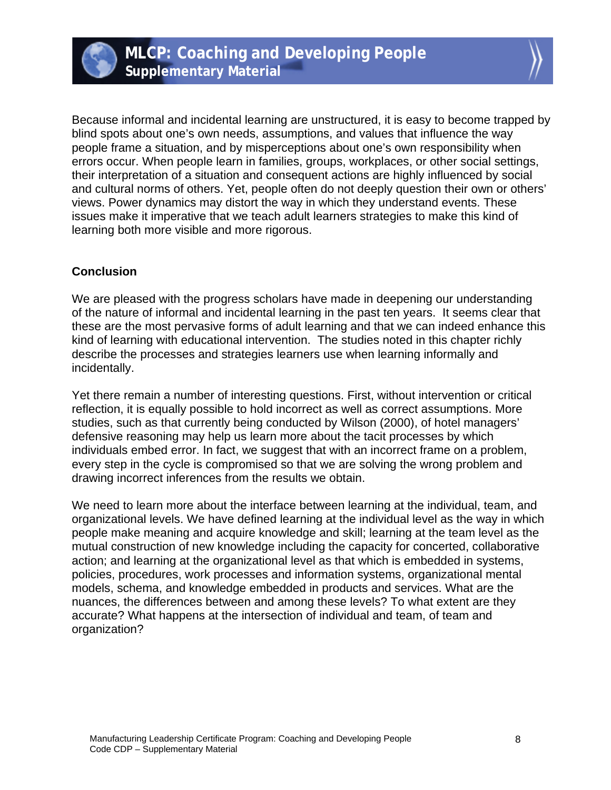

Because informal and incidental learning are unstructured, it is easy to become trapped by blind spots about one's own needs, assumptions, and values that influence the way people frame a situation, and by misperceptions about one's own responsibility when errors occur. When people learn in families, groups, workplaces, or other social settings, their interpretation of a situation and consequent actions are highly influenced by social and cultural norms of others. Yet, people often do not deeply question their own or others' views. Power dynamics may distort the way in which they understand events. These issues make it imperative that we teach adult learners strategies to make this kind of learning both more visible and more rigorous.

# **Conclusion**

We are pleased with the progress scholars have made in deepening our understanding of the nature of informal and incidental learning in the past ten years. It seems clear that these are the most pervasive forms of adult learning and that we can indeed enhance this kind of learning with educational intervention. The studies noted in this chapter richly describe the processes and strategies learners use when learning informally and incidentally.

Yet there remain a number of interesting questions. First, without intervention or critical reflection, it is equally possible to hold incorrect as well as correct assumptions. More studies, such as that currently being conducted by Wilson (2000), of hotel managers' defensive reasoning may help us learn more about the tacit processes by which individuals embed error. In fact, we suggest that with an incorrect frame on a problem, every step in the cycle is compromised so that we are solving the wrong problem and drawing incorrect inferences from the results we obtain.

We need to learn more about the interface between learning at the individual, team, and organizational levels. We have defined learning at the individual level as the way in which people make meaning and acquire knowledge and skill; learning at the team level as the mutual construction of new knowledge including the capacity for concerted, collaborative action; and learning at the organizational level as that which is embedded in systems, policies, procedures, work processes and information systems, organizational mental models, schema, and knowledge embedded in products and services. What are the nuances, the differences between and among these levels? To what extent are they accurate? What happens at the intersection of individual and team, of team and organization?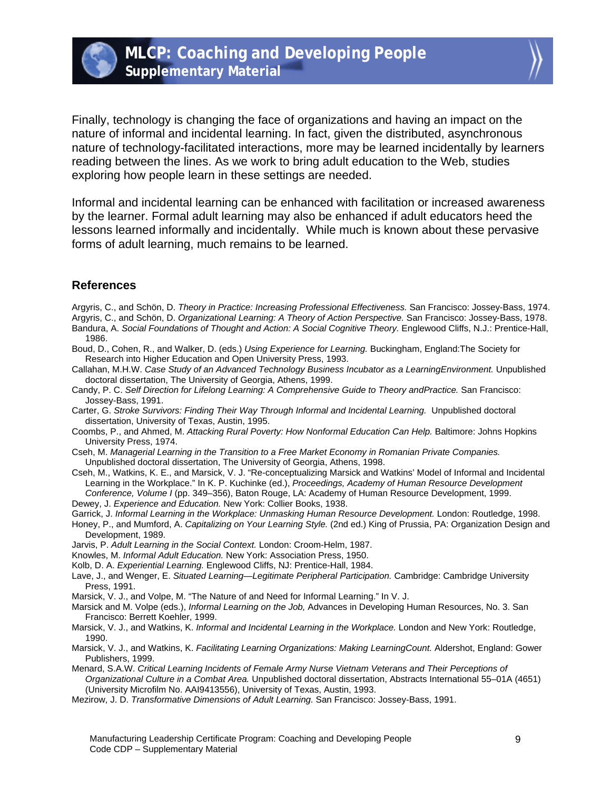**MLCP: Coaching and Developing People Supplementary Material** 



Finally, technology is changing the face of organizations and having an impact on the nature of informal and incidental learning. In fact, given the distributed, asynchronous nature of technology-facilitated interactions, more may be learned incidentally by learners reading between the lines. As we work to bring adult education to the Web, studies exploring how people learn in these settings are needed.

Informal and incidental learning can be enhanced with facilitation or increased awareness by the learner. Formal adult learning may also be enhanced if adult educators heed the lessons learned informally and incidentally. While much is known about these pervasive forms of adult learning, much remains to be learned.

#### **References**

Argyris, C., and Schön, D. *Theory in Practice: Increasing Professional Effectiveness.* San Francisco: Jossey-Bass, 1974. Argyris, C., and Schön, D. *Organizational Learning: A Theory of Action Perspective.* San Francisco: Jossey-Bass, 1978.

Bandura, A. Social Foundations of Thought and Action: A Social Cognitive Theory. Englewood Cliffs, N.J.: Prentice-Hall, 1986.

Boud, D., Cohen, R., and Walker, D. (eds.) *Using Experience for Learning.* Buckingham, England:The Society for Research into Higher Education and Open University Press, 1993.

Callahan, M.H.W. *Case Study of an Advanced Technology Business Incubator as a LearningEnvironment.* Unpublished doctoral dissertation, The University of Georgia, Athens, 1999.

Candy, P. C. *Self Direction for Lifelong Learning: A Comprehensive Guide to Theory andPractice.* San Francisco: Jossey-Bass, 1991.

Carter, G. *Stroke Survivors: Finding Their Way Through Informal and Incidental Learning.* Unpublished doctoral dissertation, University of Texas, Austin, 1995.

Coombs, P., and Ahmed, M. *Attacking Rural Poverty: How Nonformal Education Can Help.* Baltimore: Johns Hopkins University Press, 1974.

Cseh, M. *Managerial Learning in the Transition to a Free Market Economy in Romanian Private Companies.*  Unpublished doctoral dissertation, The University of Georgia, Athens, 1998.

Cseh, M., Watkins, K. E., and Marsick, V. J. "Re-conceptualizing Marsick and Watkins' Model of Informal and Incidental Learning in the Workplace." In K. P. Kuchinke (ed.), *Proceedings, Academy of Human Resource Development Conference, Volume I* (pp. 349–356), Baton Rouge, LA: Academy of Human Resource Development, 1999.

Dewey, J. *Experience and Education.* New York: Collier Books, 1938.

Garrick, J. Informal Learning in the Workplace: Unmasking Human Resource Development. London: Routledge. 1998.

Honey, P., and Mumford, A. *Capitalizing on Your Learning Style.* (2nd ed.) King of Prussia, PA: Organization Design and Development, 1989.

Jarvis, P. *Adult Learning in the Social Context.* London: Croom-Helm, 1987.

Knowles, M. *Informal Adult Education.* New York: Association Press, 1950.

Kolb, D. A. *Experiential Learning.* Englewood Cliffs, NJ: Prentice-Hall, 1984.

Lave, J., and Wenger, E. Situated Learning—Legitimate Peripheral Participation. Cambridge: Cambridge University Press, 1991.

Marsick, V. J., and Volpe, M. "The Nature of and Need for Informal Learning." In V. J.

Marsick and M. Volpe (eds.), *Informal Learning on the Job,* Advances in Developing Human Resources, No. 3. San Francisco: Berrett Koehler, 1999.

Marsick, V. J., and Watkins, K. *Informal and Incidental Learning in the Workplace.* London and New York: Routledge, 1990.

Marsick, V. J., and Watkins, K. Facilitating Learning Organizations: Making LearningCount. Aldershot, England: Gower Publishers, 1999.

Menard, S.A.W. *Critical Learning Incidents of Female Army Nurse Vietnam Veterans and Their Perceptions of Organizational Culture in a Combat Area.* Unpublished doctoral dissertation, Abstracts International 55–01A (4651) (University Microfilm No. AAI9413556), University of Texas, Austin, 1993.

Mezirow, J. D. *Transformative Dimensions of Adult Learning.* San Francisco: Jossey-Bass, 1991.